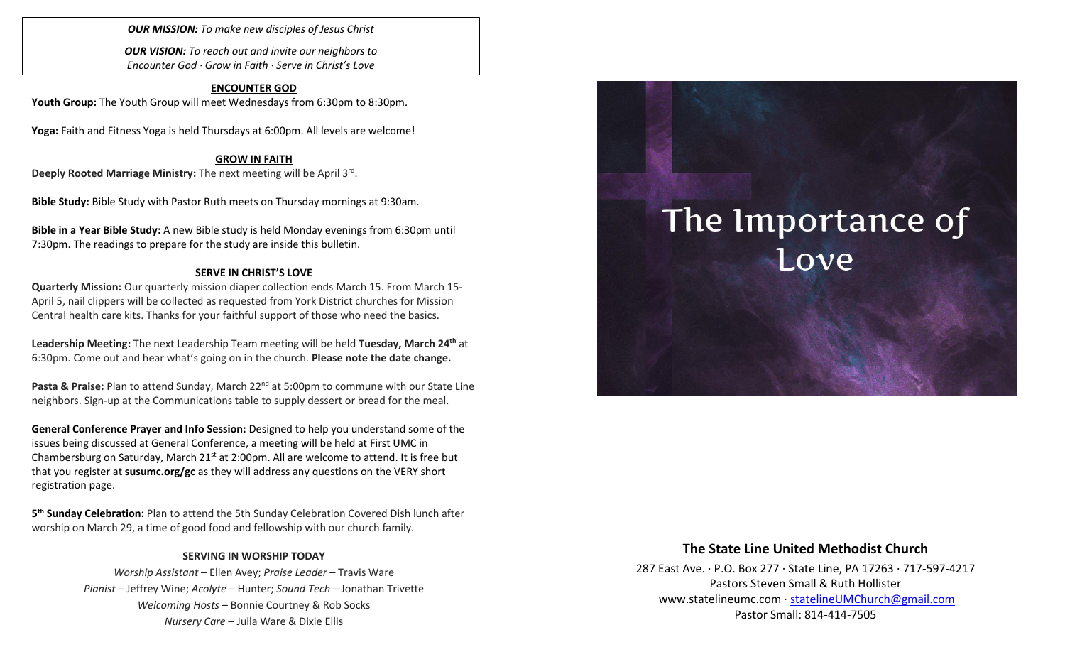*OUR MISSION: To make new disciples of Jesus Christ*

*OUR VISION: To reach out and invite our neighbors to Encounter God · Grow in Faith · Serve in Christ's Love*

#### **ENCOUNTER GOD**

Youth Group: The Youth Group will meet Wednesdays from 6:30pm to 8:30pm.

**Yoga:** Faith and Fitness Yoga is held Thursdays at 6:00pm. All levels are welcome!

#### **GROW IN FAITH**

Deeply Rooted Marriage Ministry: The next meeting will be April 3<sup>rd</sup>.

**Bible Study:** Bible Study with Pastor Ruth meets on Thursday mornings at 9:30am.

**Bible in a Year Bible Study:** A new Bible study is held Monday evenings from 6:30pm until 7:30pm. The readings to prepare for the study are inside this bulletin.

#### **SERVE IN CHRIST'S LOVE**

**Quarterly Mission:** Our quarterly mission diaper collection ends March 15. From March 15- April 5, nail clippers will be collected as requested from York District churches for Mission Central health care kits. Thanks for your faithful support of those who need the basics.

**Leadership Meeting:** The next Leadership Team meeting will be held **Tuesday, March 24th** at 6:30pm. Come out and hear what's going on in the church. **Please note the date change.**

**Pasta & Praise:** Plan to attend Sunday, March 22<sup>nd</sup> at 5:00pm to commune with our State Line neighbors. Sign-up at the Communications table to supply dessert or bread for the meal.

**General Conference Prayer and Info Session:** Designed to help you understand some of the issues being discussed at General Conference, a meeting will be held at First UMC in Chambersburg on Saturday, March  $21<sup>st</sup>$  at 2:00pm. All are welcome to attend. It is free but that you register at **susumc.org/gc** as they will address any questions on the VERY short registration page.

**5 th Sunday Celebration:** Plan to attend the 5th Sunday Celebration Covered Dish lunch after worship on March 29, a time of good food and fellowship with our church family.

#### **SERVING IN WORSHIP TODAY**

*Worship Assistant* – Ellen Avey; *Praise Leader* – Travis Ware *Pianist* – Jeffrey Wine; *Acolyte* – Hunter; *Sound Tech* – Jonathan Trivette *Welcoming Hosts* – Bonnie Courtney & Rob Socks *Nursery Care* – Juila Ware & Dixie Ellis

# The Importance of Love

#### **The State Line United Methodist Church**

287 East Ave. · P.O. Box 277 · State Line, PA 17263 · 717-597-4217 Pastors Steven Small & Ruth Hollister [www.statelineumc.com](http://www.statelineumc.com/) · [statelineUMChurch@gmail.com](mailto:statelineUMChurch@gmail.com) Pastor Small: 814-414-7505